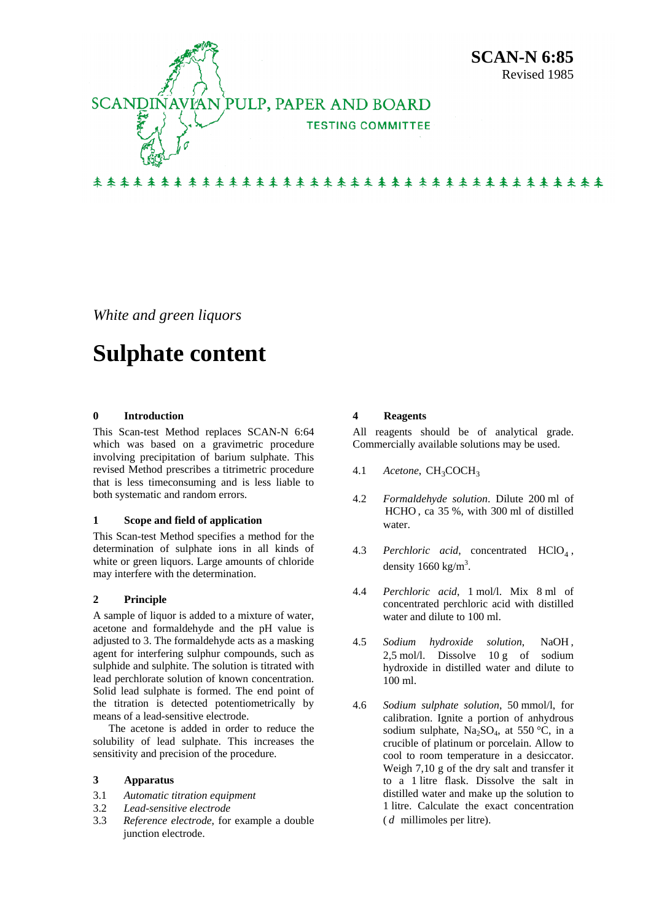

*White and green liquors* 

# **Sulphate content**

## **0 Introduction**

This Scan-test Method replaces SCAN-N 6:64 which was based on a gravimetric procedure involving precipitation of barium sulphate. This revised Method prescribes a titrimetric procedure that is less timeconsuming and is less liable to both systematic and random errors.

#### **1 Scope and field of application**

This Scan-test Method specifies a method for the determination of sulphate ions in all kinds of white or green liquors. Large amounts of chloride may interfere with the determination.

## **2 Principle**

A sample of liquor is added to a mixture of water, acetone and formaldehyde and the pH value is adjusted to 3. The formaldehyde acts as a masking agent for interfering sulphur compounds, such as sulphide and sulphite. The solution is titrated with lead perchlorate solution of known concentration. Solid lead sulphate is formed. The end point of the titration is detected potentiometrically by means of a lead-sensitive electrode.

The acetone is added in order to reduce the solubility of lead sulphate. This increases the sensitivity and precision of the procedure.

#### **3 Apparatus**

- 3.1 *Automatic titration equipment*
- 3.2 *Lead-sensitive electrode*
- 3.3 *Reference electrode*, for example a double junction electrode.

## **4 Reagents**

All reagents should be of analytical grade. Commercially available solutions may be used.

- 4.1 *Acetone*, CH<sub>3</sub>COCH<sub>3</sub>
- 4.2 *Formaldehyde solution*. Dilute 200 ml of HCHO, ca 35 %, with 300 ml of distilled water.
- 4.3 *Perchloric acid*, concentrated  $HClO<sub>4</sub>$ , density  $1660 \text{ kg/m}^3$ .
- 4.4 *Perchloric acid*, 1 mol/l. Mix 8 ml of concentrated perchloric acid with distilled water and dilute to 100 ml.
- 4.5 *Sodium hydroxide solution*, NaOH , 2.5 mol/l. Dissolve 10 g of sodium hydroxide in distilled water and dilute to 100 ml.
- 4.6 *Sodium sulphate solution*, 50 mmol/l, for calibration. Ignite a portion of anhydrous sodium sulphate,  $Na<sub>2</sub>SO<sub>4</sub>$ , at 550 °C, in a crucible of platinum or porcelain. Allow to cool to room temperature in a desiccator. Weigh 7,10 g of the dry salt and transfer it to a 1 litre flask. Dissolve the salt in distilled water and make up the solution to 1 litre. Calculate the exact concentration ( *d* millimoles per litre).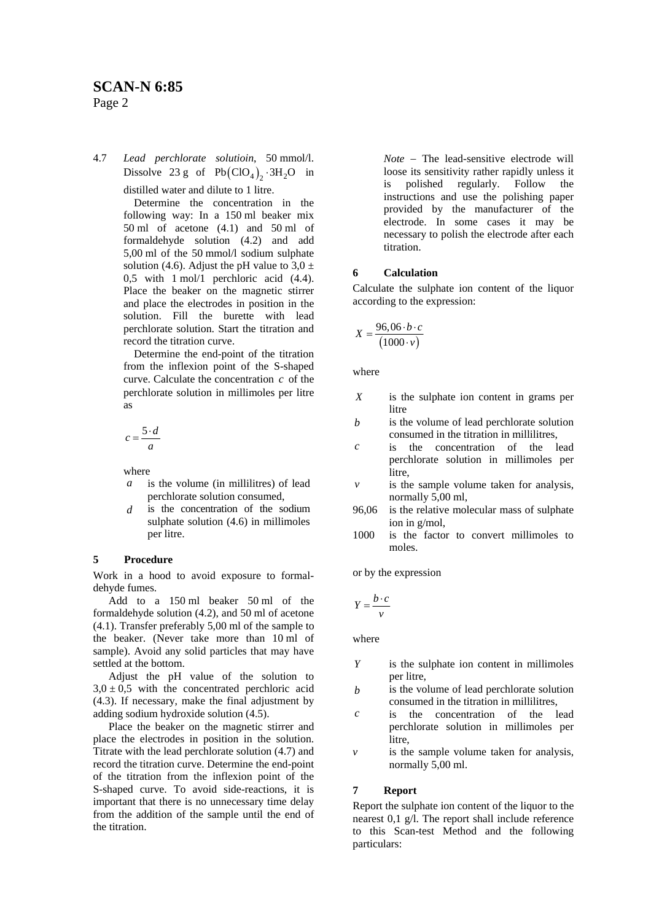4.7 *Lead perchlorate solutioin*, 50 mmol/l. Dissolve 23 g of  $Pb(CIO_4)_2 \cdot 3H_2O$  in distilled water and dilute to 1 litre.

> Determine the concentration in the following way: In a 150 ml beaker mix 50 ml of acetone (4.1) and 50 ml of formaldehyde solution (4.2) and add 5,00 ml of the 50 mmol/l sodium sulphate solution (4.6). Adjust the pH value to  $3.0 \pm$ 0,5 with 1 mol/1 perchloric acid (4.4). Place the beaker on the magnetic stirrer and place the electrodes in position in the solution. Fill the burette with lead perchlorate solution. Start the titration and record the titration curve.

> Determine the end-point of the titration from the inflexion point of the S-shaped curve. Calculate the concentration *c* of the perchlorate solution in millimoles per litre as

$$
c = \frac{5 \cdot d}{a}
$$

where

- *a* is the volume (in millilitres) of lead perchlorate solution consumed,
- *d* is the concentration of the sodium sulphate solution (4.6) in millimoles per litre.

## **5 Procedure**

Work in a hood to avoid exposure to formaldehyde fumes.

Add to a 150 ml beaker 50 ml of the formaldehyde solution (4.2), and 50 ml of acetone (4.1). Transfer preferably 5,00 ml of the sample to the beaker. (Never take more than 10 ml of sample). Avoid any solid particles that may have settled at the bottom.

Adjust the pH value of the solution to  $3,0 \pm 0,5$  with the concentrated perchloric acid (4.3). If necessary, make the final adjustment by adding sodium hydroxide solution (4.5).

Place the beaker on the magnetic stirrer and place the electrodes in position in the solution. Titrate with the lead perchlorate solution (4.7) and record the titration curve. Determine the end-point of the titration from the inflexion point of the S-shaped curve. To avoid side-reactions, it is important that there is no unnecessary time delay from the addition of the sample until the end of the titration.

*Note* − The lead-sensitive electrode will loose its sensitivity rather rapidly unless it is polished regularly. Follow the instructions and use the polishing paper provided by the manufacturer of the electrode. In some cases it may be necessary to polish the electrode after each titration.

#### **6 Calculation**

Calculate the sulphate ion content of the liquor according to the expression:

$$
X = \frac{96,06 \cdot b \cdot c}{(1000 \cdot v)}
$$

where

- *X* is the sulphate ion content in grams per litre
- *b* is the volume of lead perchlorate solution consumed in the titration in millilitres,
- *c* is the concentration of the lead perchlorate solution in millimoles per litre,
- *v* is the sample volume taken for analysis, normally 5,00 ml,
- 96,06 is the relative molecular mass of sulphate ion in g/mol,
- 1000 is the factor to convert millimoles to moles.

or by the expression

$$
Y = \frac{b \cdot c}{v}
$$

where

- *Y* is the sulphate ion content in millimoles per litre,
- *b* is the volume of lead perchlorate solution consumed in the titration in millilitres,
- *c* is the concentration of the lead perchlorate solution in millimoles per litre.
- *v* is the sample volume taken for analysis, normally 5,00 ml.

#### **7 Report**

Report the sulphate ion content of the liquor to the nearest 0,1 g/l. The report shall include reference to this Scan-test Method and the following particulars: